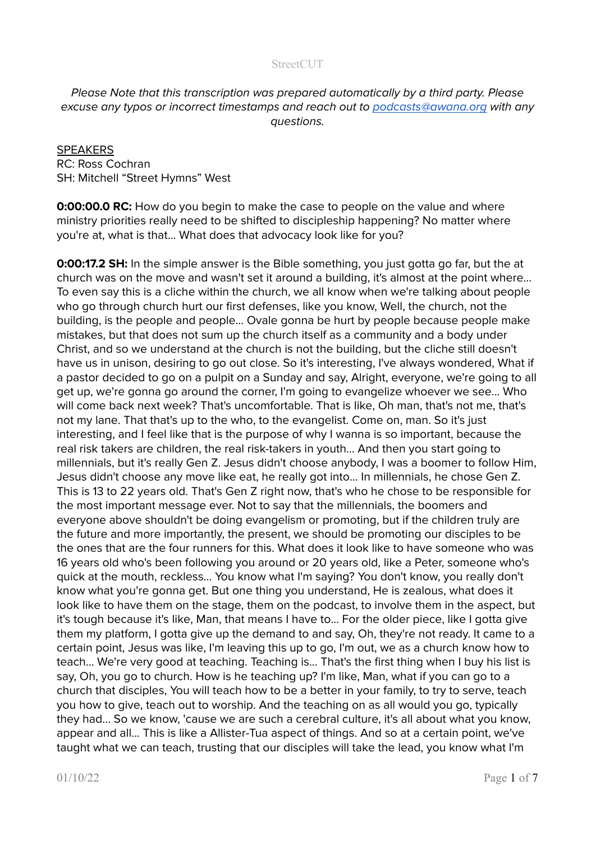# Please Note that this transcription was prepared automatically by a third party. Please excuse any typos or incorrect timestamps and reach out to [podcasts@awana.org](mailto:podcasts@awana.org) with any questions.

# **SPEAKERS** RC: Ross Cochran SH: Mitchell "Street Hymns" West

**0:00:00.0 RC:** How do you begin to make the case to people on the value and where ministry priorities really need to be shifted to discipleship happening? No matter where you're at, what is that... What does that advocacy look like for you?

**0:00:17.2 SH:** In the simple answer is the Bible something, you just gotta go far, but the at church was on the move and wasn't set it around a building, it's almost at the point where... To even say this is a cliche within the church, we all know when we're talking about people who go through church hurt our first defenses, like you know, Well, the church, not the building, is the people and people... Ovale gonna be hurt by people because people make mistakes, but that does not sum up the church itself as a community and a body under Christ, and so we understand at the church is not the building, but the cliche still doesn't have us in unison, desiring to go out close. So it's interesting, I've always wondered, What if a pastor decided to go on a pulpit on a Sunday and say, Alright, everyone, we're going to all get up, we're gonna go around the corner, I'm going to evangelize whoever we see... Who will come back next week? That's uncomfortable. That is like, Oh man, that's not me, that's not my lane. That that's up to the who, to the evangelist. Come on, man. So it's just interesting, and I feel like that is the purpose of why I wanna is so important, because the real risk takers are children, the real risk-takers in youth… And then you start going to millennials, but it's really Gen Z. Jesus didn't choose anybody, I was a boomer to follow Him, Jesus didn't choose any move like eat, he really got into... In millennials, he chose Gen Z. This is 13 to 22 years old. That's Gen Z right now, that's who he chose to be responsible for the most important message ever. Not to say that the millennials, the boomers and everyone above shouldn't be doing evangelism or promoting, but if the children truly are the future and more importantly, the present, we should be promoting our disciples to be the ones that are the four runners for this. What does it look like to have someone who was 16 years old who's been following you around or 20 years old, like a Peter, someone who's quick at the mouth, reckless... You know what I'm saying? You don't know, you really don't know what you're gonna get. But one thing you understand, He is zealous, what does it look like to have them on the stage, them on the podcast, to involve them in the aspect, but it's tough because it's like, Man, that means I have to… For the older piece, like I gotta give them my platform, I gotta give up the demand to and say, Oh, they're not ready. It came to a certain point, Jesus was like, I'm leaving this up to go, I'm out, we as a church know how to teach... We're very good at teaching. Teaching is... That's the first thing when I buy his list is say, Oh, you go to church. How is he teaching up? I'm like, Man, what if you can go to a church that disciples, You will teach how to be a better in your family, to try to serve, teach you how to give, teach out to worship. And the teaching on as all would you go, typically they had... So we know, 'cause we are such a cerebral culture, it's all about what you know, appear and all... This is like a Allister-Tua aspect of things. And so at a certain point, we've taught what we can teach, trusting that our disciples will take the lead, you know what I'm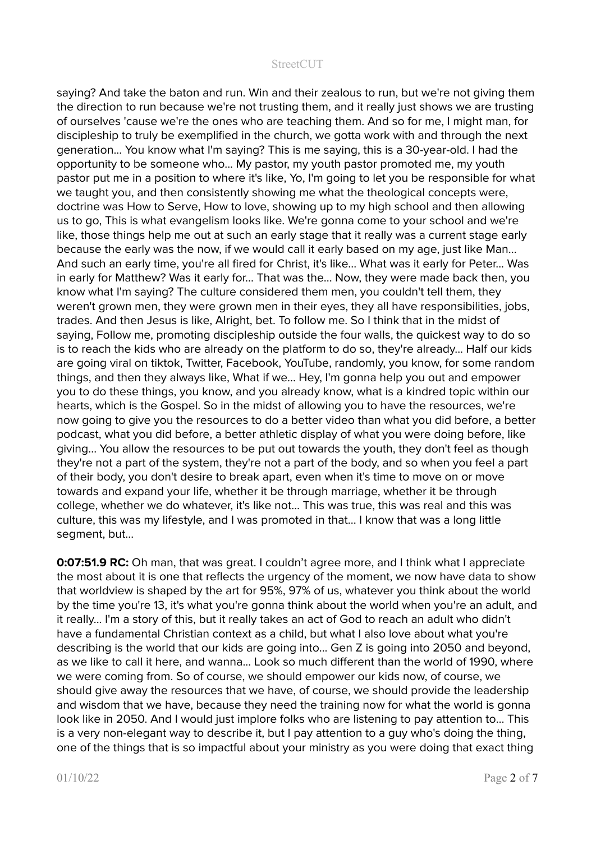saying? And take the baton and run. Win and their zealous to run, but we're not giving them the direction to run because we're not trusting them, and it really just shows we are trusting of ourselves 'cause we're the ones who are teaching them. And so for me, I might man, for discipleship to truly be exemplified in the church, we gotta work with and through the next generation... You know what I'm saying? This is me saying, this is a 30-year-old. I had the opportunity to be someone who... My pastor, my youth pastor promoted me, my youth pastor put me in a position to where it's like, Yo, I'm going to let you be responsible for what we taught you, and then consistently showing me what the theological concepts were, doctrine was How to Serve, How to love, showing up to my high school and then allowing us to go, This is what evangelism looks like. We're gonna come to your school and we're like, those things help me out at such an early stage that it really was a current stage early because the early was the now, if we would call it early based on my age, just like Man... And such an early time, you're all fired for Christ, it's like... What was it early for Peter... Was in early for Matthew? Was it early for... That was the... Now, they were made back then, you know what I'm saying? The culture considered them men, you couldn't tell them, they weren't grown men, they were grown men in their eyes, they all have responsibilities, jobs, trades. And then Jesus is like, Alright, bet. To follow me. So I think that in the midst of saying, Follow me, promoting discipleship outside the four walls, the quickest way to do so is to reach the kids who are already on the platform to do so, they're already... Half our kids are going viral on tiktok, Twitter, Facebook, YouTube, randomly, you know, for some random things, and then they always like, What if we... Hey, I'm gonna help you out and empower you to do these things, you know, and you already know, what is a kindred topic within our hearts, which is the Gospel. So in the midst of allowing you to have the resources, we're now going to give you the resources to do a better video than what you did before, a better podcast, what you did before, a better athletic display of what you were doing before, like giving... You allow the resources to be put out towards the youth, they don't feel as though they're not a part of the system, they're not a part of the body, and so when you feel a part of their body, you don't desire to break apart, even when it's time to move on or move towards and expand your life, whether it be through marriage, whether it be through college, whether we do whatever, it's like not… This was true, this was real and this was culture, this was my lifestyle, and I was promoted in that... I know that was a long little segment, but...

**0:07:51.9 RC:** Oh man, that was great. I couldn't agree more, and I think what I appreciate the most about it is one that reflects the urgency of the moment, we now have data to show that worldview is shaped by the art for 95%, 97% of us, whatever you think about the world by the time you're 13, it's what you're gonna think about the world when you're an adult, and it really... I'm a story of this, but it really takes an act of God to reach an adult who didn't have a fundamental Christian context as a child, but what I also love about what you're describing is the world that our kids are going into... Gen Z is going into 2050 and beyond, as we like to call it here, and wanna... Look so much different than the world of 1990, where we were coming from. So of course, we should empower our kids now, of course, we should give away the resources that we have, of course, we should provide the leadership and wisdom that we have, because they need the training now for what the world is gonna look like in 2050. And I would just implore folks who are listening to pay attention to… This is a very non-elegant way to describe it, but I pay attention to a guy who's doing the thing, one of the things that is so impactful about your ministry as you were doing that exact thing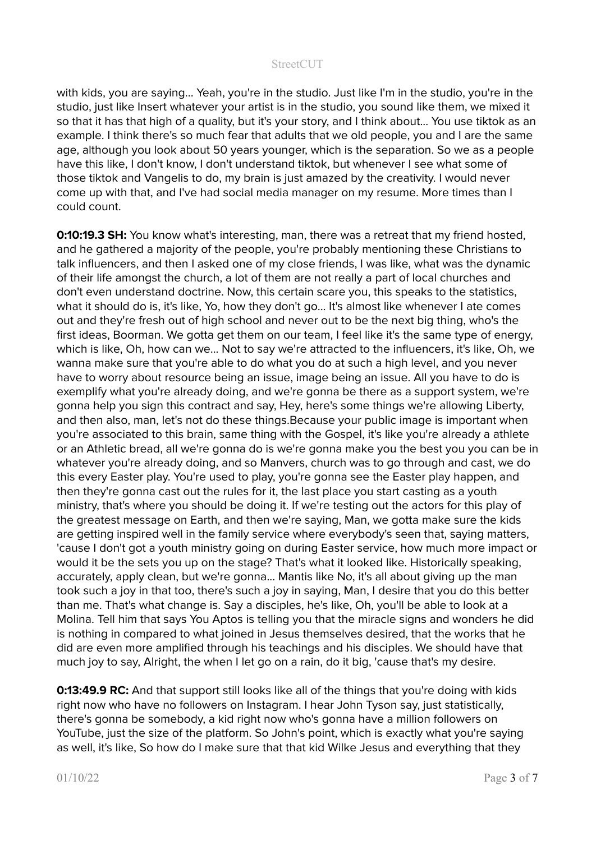with kids, you are saying... Yeah, you're in the studio. Just like I'm in the studio, you're in the studio, just like Insert whatever your artist is in the studio, you sound like them, we mixed it so that it has that high of a quality, but it's your story, and I think about... You use tiktok as an example. I think there's so much fear that adults that we old people, you and I are the same age, although you look about 50 years younger, which is the separation. So we as a people have this like, I don't know, I don't understand tiktok, but whenever I see what some of those tiktok and Vangelis to do, my brain is just amazed by the creativity. I would never come up with that, and I've had social media manager on my resume. More times than I could count.

**0:10:19.3 SH:** You know what's interesting, man, there was a retreat that my friend hosted, and he gathered a majority of the people, you're probably mentioning these Christians to talk influencers, and then I asked one of my close friends, I was like, what was the dynamic of their life amongst the church, a lot of them are not really a part of local churches and don't even understand doctrine. Now, this certain scare you, this speaks to the statistics, what it should do is, it's like, Yo, how they don't go... It's almost like whenever I ate comes out and they're fresh out of high school and never out to be the next big thing, who's the first ideas, Boorman. We gotta get them on our team, I feel like it's the same type of energy, which is like, Oh, how can we... Not to say we're attracted to the influencers, it's like, Oh, we wanna make sure that you're able to do what you do at such a high level, and you never have to worry about resource being an issue, image being an issue. All you have to do is exemplify what you're already doing, and we're gonna be there as a support system, we're gonna help you sign this contract and say, Hey, here's some things we're allowing Liberty, and then also, man, let's not do these things.Because your public image is important when you're associated to this brain, same thing with the Gospel, it's like you're already a athlete or an Athletic bread, all we're gonna do is we're gonna make you the best you you can be in whatever you're already doing, and so Manvers, church was to go through and cast, we do this every Easter play. You're used to play, you're gonna see the Easter play happen, and then they're gonna cast out the rules for it, the last place you start casting as a youth ministry, that's where you should be doing it. If we're testing out the actors for this play of the greatest message on Earth, and then we're saying, Man, we gotta make sure the kids are getting inspired well in the family service where everybody's seen that, saying matters, 'cause I don't got a youth ministry going on during Easter service, how much more impact or would it be the sets you up on the stage? That's what it looked like. Historically speaking, accurately, apply clean, but we're gonna... Mantis like No, it's all about giving up the man took such a joy in that too, there's such a joy in saying, Man, I desire that you do this better than me. That's what change is. Say a disciples, he's like, Oh, you'll be able to look at a Molina. Tell him that says You Aptos is telling you that the miracle signs and wonders he did is nothing in compared to what joined in Jesus themselves desired, that the works that he did are even more amplified through his teachings and his disciples. We should have that much joy to say, Alright, the when I let go on a rain, do it big, 'cause that's my desire.

**0:13:49.9 RC:** And that support still looks like all of the things that you're doing with kids right now who have no followers on Instagram. I hear John Tyson say, just statistically, there's gonna be somebody, a kid right now who's gonna have a million followers on YouTube, just the size of the platform. So John's point, which is exactly what you're saying as well, it's like, So how do I make sure that that kid Wilke Jesus and everything that they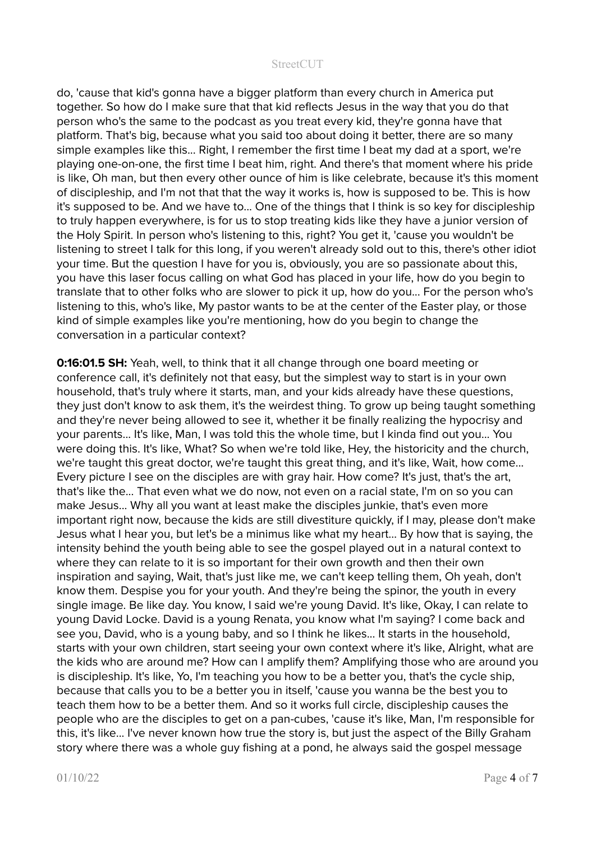do, 'cause that kid's gonna have a bigger platform than every church in America put together. So how do I make sure that that kid reflects Jesus in the way that you do that person who's the same to the podcast as you treat every kid, they're gonna have that platform. That's big, because what you said too about doing it better, there are so many simple examples like this... Right, I remember the first time I beat my dad at a sport, we're playing one-on-one, the first time I beat him, right. And there's that moment where his pride is like, Oh man, but then every other ounce of him is like celebrate, because it's this moment of discipleship, and I'm not that that the way it works is, how is supposed to be. This is how it's supposed to be. And we have to... One of the things that I think is so key for discipleship to truly happen everywhere, is for us to stop treating kids like they have a junior version of the Holy Spirit. In person who's listening to this, right? You get it, 'cause you wouldn't be listening to street I talk for this long, if you weren't already sold out to this, there's other idiot your time. But the question I have for you is, obviously, you are so passionate about this, you have this laser focus calling on what God has placed in your life, how do you begin to translate that to other folks who are slower to pick it up, how do you... For the person who's listening to this, who's like, My pastor wants to be at the center of the Easter play, or those kind of simple examples like you're mentioning, how do you begin to change the conversation in a particular context?

**0:16:01.5 SH:** Yeah, well, to think that it all change through one board meeting or conference call, it's definitely not that easy, but the simplest way to start is in your own household, that's truly where it starts, man, and your kids already have these questions, they just don't know to ask them, it's the weirdest thing. To grow up being taught something and they're never being allowed to see it, whether it be finally realizing the hypocrisy and your parents... It's like, Man, I was told this the whole time, but I kinda find out you... You were doing this. It's like, What? So when we're told like, Hey, the historicity and the church, we're taught this great doctor, we're taught this great thing, and it's like, Wait, how come... Every picture I see on the disciples are with gray hair. How come? It's just, that's the art, that's like the... That even what we do now, not even on a racial state, I'm on so you can make Jesus... Why all you want at least make the disciples junkie, that's even more important right now, because the kids are still divestiture quickly, if I may, please don't make Jesus what I hear you, but let's be a minimus like what my heart… By how that is saying, the intensity behind the youth being able to see the gospel played out in a natural context to where they can relate to it is so important for their own growth and then their own inspiration and saying, Wait, that's just like me, we can't keep telling them, Oh yeah, don't know them. Despise you for your youth. And they're being the spinor, the youth in every single image. Be like day. You know, I said we're young David. It's like, Okay, I can relate to young David Locke. David is a young Renata, you know what I'm saying? I come back and see you, David, who is a young baby, and so I think he likes... It starts in the household, starts with your own children, start seeing your own context where it's like, Alright, what are the kids who are around me? How can I amplify them? Amplifying those who are around you is discipleship. It's like, Yo, I'm teaching you how to be a better you, that's the cycle ship, because that calls you to be a better you in itself, 'cause you wanna be the best you to teach them how to be a better them. And so it works full circle, discipleship causes the people who are the disciples to get on a pan-cubes, 'cause it's like, Man, I'm responsible for this, it's like... I've never known how true the story is, but just the aspect of the Billy Graham story where there was a whole guy fishing at a pond, he always said the gospel message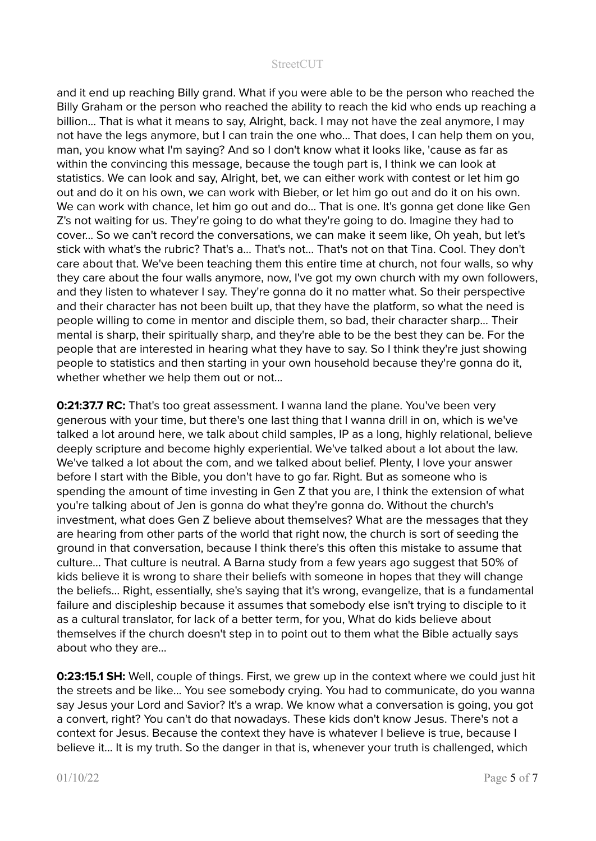and it end up reaching Billy grand. What if you were able to be the person who reached the Billy Graham or the person who reached the ability to reach the kid who ends up reaching a billion... That is what it means to say, Alright, back. I may not have the zeal anymore, I may not have the legs anymore, but I can train the one who... That does, I can help them on you, man, you know what I'm saying? And so I don't know what it looks like, 'cause as far as within the convincing this message, because the tough part is, I think we can look at statistics. We can look and say, Alright, bet, we can either work with contest or let him go out and do it on his own, we can work with Bieber, or let him go out and do it on his own. We can work with chance, let him go out and do... That is one. It's gonna get done like Gen Z's not waiting for us. They're going to do what they're going to do. Imagine they had to cover... So we can't record the conversations, we can make it seem like, Oh yeah, but let's stick with what's the rubric? That's a... That's not... That's not on that Tina. Cool. They don't care about that. We've been teaching them this entire time at church, not four walls, so why they care about the four walls anymore, now, I've got my own church with my own followers, and they listen to whatever I say. They're gonna do it no matter what. So their perspective and their character has not been built up, that they have the platform, so what the need is people willing to come in mentor and disciple them, so bad, their character sharp... Their mental is sharp, their spiritually sharp, and they're able to be the best they can be. For the people that are interested in hearing what they have to say. So I think they're just showing people to statistics and then starting in your own household because they're gonna do it, whether whether we help them out or not...

**0:21:37.7 RC:** That's too great assessment. I wanna land the plane. You've been very generous with your time, but there's one last thing that I wanna drill in on, which is we've talked a lot around here, we talk about child samples, IP as a long, highly relational, believe deeply scripture and become highly experiential. We've talked about a lot about the law. We've talked a lot about the com, and we talked about belief. Plenty, I love your answer before I start with the Bible, you don't have to go far. Right. But as someone who is spending the amount of time investing in Gen Z that you are, I think the extension of what you're talking about of Jen is gonna do what they're gonna do. Without the church's investment, what does Gen Z believe about themselves? What are the messages that they are hearing from other parts of the world that right now, the church is sort of seeding the ground in that conversation, because I think there's this often this mistake to assume that culture... That culture is neutral. A Barna study from a few years ago suggest that 50% of kids believe it is wrong to share their beliefs with someone in hopes that they will change the beliefs… Right, essentially, she's saying that it's wrong, evangelize, that is a fundamental failure and discipleship because it assumes that somebody else isn't trying to disciple to it as a cultural translator, for lack of a better term, for you, What do kids believe about themselves if the church doesn't step in to point out to them what the Bible actually says about who they are...

**0:23:15.1 SH:** Well, couple of things. First, we grew up in the context where we could just hit the streets and be like... You see somebody crying. You had to communicate, do you wanna say Jesus your Lord and Savior? It's a wrap. We know what a conversation is going, you got a convert, right? You can't do that nowadays. These kids don't know Jesus. There's not a context for Jesus. Because the context they have is whatever I believe is true, because I believe it... It is my truth. So the danger in that is, whenever your truth is challenged, which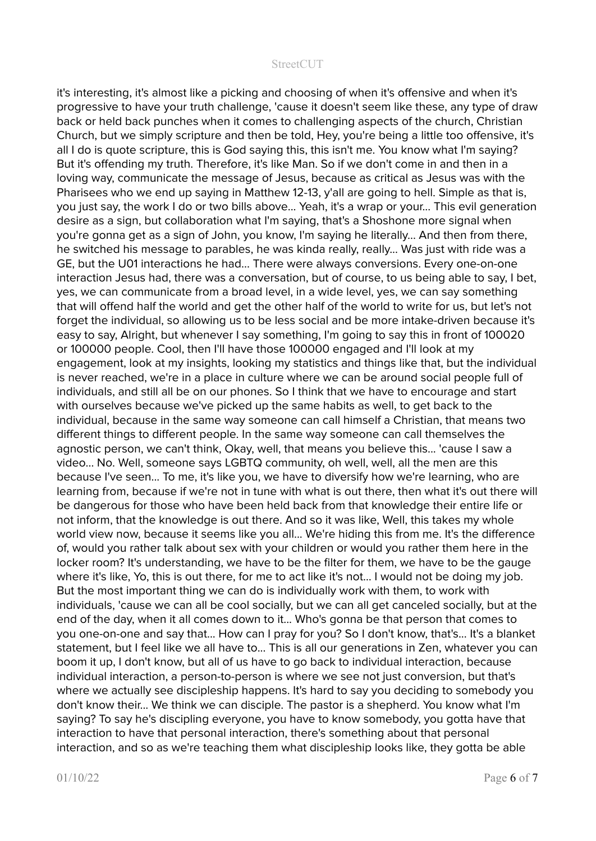it's interesting, it's almost like a picking and choosing of when it's offensive and when it's progressive to have your truth challenge, 'cause it doesn't seem like these, any type of draw back or held back punches when it comes to challenging aspects of the church, Christian Church, but we simply scripture and then be told, Hey, you're being a little too offensive, it's all I do is quote scripture, this is God saying this, this isn't me. You know what I'm saying? But it's offending my truth. Therefore, it's like Man. So if we don't come in and then in a loving way, communicate the message of Jesus, because as critical as Jesus was with the Pharisees who we end up saying in Matthew 12-13, y'all are going to hell. Simple as that is, you just say, the work I do or two bills above... Yeah, it's a wrap or your... This evil generation desire as a sign, but collaboration what I'm saying, that's a Shoshone more signal when you're gonna get as a sign of John, you know, I'm saying he literally... And then from there, he switched his message to parables, he was kinda really, really... Was just with ride was a GE, but the U01 interactions he had... There were always conversions. Every one-on-one interaction Jesus had, there was a conversation, but of course, to us being able to say, I bet, yes, we can communicate from a broad level, in a wide level, yes, we can say something that will offend half the world and get the other half of the world to write for us, but let's not forget the individual, so allowing us to be less social and be more intake-driven because it's easy to say, Alright, but whenever I say something, I'm going to say this in front of 100020 or 100000 people. Cool, then I'll have those 100000 engaged and I'll look at my engagement, look at my insights, looking my statistics and things like that, but the individual is never reached, we're in a place in culture where we can be around social people full of individuals, and still all be on our phones. So I think that we have to encourage and start with ourselves because we've picked up the same habits as well, to get back to the individual, because in the same way someone can call himself a Christian, that means two different things to different people. In the same way someone can call themselves the agnostic person, we can't think, Okay, well, that means you believe this... 'cause I saw a video... No. Well, someone says LGBTQ community, oh well, well, all the men are this because I've seen... To me, it's like you, we have to diversify how we're learning, who are learning from, because if we're not in tune with what is out there, then what it's out there will be dangerous for those who have been held back from that knowledge their entire life or not inform, that the knowledge is out there. And so it was like, Well, this takes my whole world view now, because it seems like you all... We're hiding this from me. It's the difference of, would you rather talk about sex with your children or would you rather them here in the locker room? It's understanding, we have to be the filter for them, we have to be the gauge where it's like, Yo, this is out there, for me to act like it's not... I would not be doing my job. But the most important thing we can do is individually work with them, to work with individuals, 'cause we can all be cool socially, but we can all get canceled socially, but at the end of the day, when it all comes down to it... Who's gonna be that person that comes to you one-on-one and say that... How can I pray for you? So I don't know, that's... It's a blanket statement, but I feel like we all have to... This is all our generations in Zen, whatever you can boom it up, I don't know, but all of us have to go back to individual interaction, because individual interaction, a person-to-person is where we see not just conversion, but that's where we actually see discipleship happens. It's hard to say you deciding to somebody you don't know their... We think we can disciple. The pastor is a shepherd. You know what I'm saying? To say he's discipling everyone, you have to know somebody, you gotta have that interaction to have that personal interaction, there's something about that personal interaction, and so as we're teaching them what discipleship looks like, they gotta be able